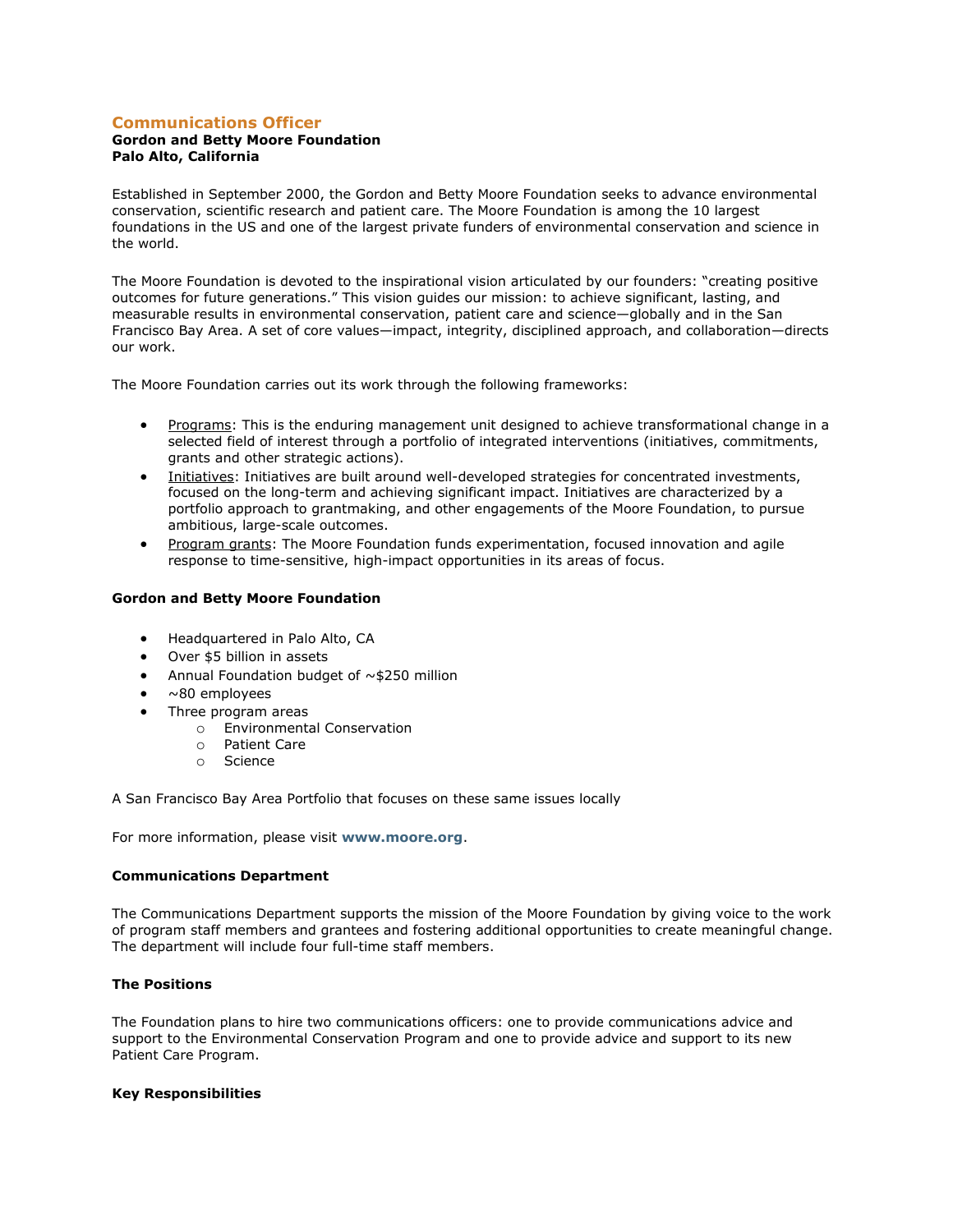# **Communications Officer**

## **Gordon and Betty Moore Foundation Palo Alto, California**

Established in September 2000, the Gordon and Betty Moore Foundation seeks to advance environmental conservation, scientific research and patient care. The Moore Foundation is among the 10 largest foundations in the US and one of the largest private funders of environmental conservation and science in the world.

The Moore Foundation is devoted to the inspirational vision articulated by our founders: "creating positive outcomes for future generations." This vision guides our mission: to achieve significant, lasting, and measurable results in environmental conservation, patient care and science—globally and in the San Francisco Bay Area. A set of core values—impact, integrity, disciplined approach, and collaboration—directs our work.

The Moore Foundation carries out its work through the following frameworks:

- Programs: This is the enduring management unit designed to achieve transformational change in a selected field of interest through a portfolio of integrated interventions (initiatives, commitments, grants and other strategic actions).
- Initiatives: Initiatives are built around well-developed strategies for concentrated investments, focused on the long-term and achieving significant impact. Initiatives are characterized by a portfolio approach to grantmaking, and other engagements of the Moore Foundation, to pursue ambitious, large-scale outcomes.
- Program grants: The Moore Foundation funds experimentation, focused innovation and agile response to time-sensitive, high-impact opportunities in its areas of focus.

### **Gordon and Betty Moore Foundation**

- Headquartered in Palo Alto, CA
- Over \$5 billion in assets
- Annual Foundation budget of  $\sim$  \$250 million
- ~80 employees
- Three program areas
	- o Environmental Conservation
	- o Patient Care
	- o Science

A San Francisco Bay Area Portfolio that focuses on these same issues locally

For more information, please visit **[www.moore.org](http://www.moore.org/)**.

#### **Communications Department**

The Communications Department supports the mission of the Moore Foundation by giving voice to the work of program staff members and grantees and fostering additional opportunities to create meaningful change. The department will include four full-time staff members.

## **The Positions**

The Foundation plans to hire two communications officers: one to provide communications advice and support to the Environmental Conservation Program and one to provide advice and support to its new Patient Care Program.

#### **Key Responsibilities**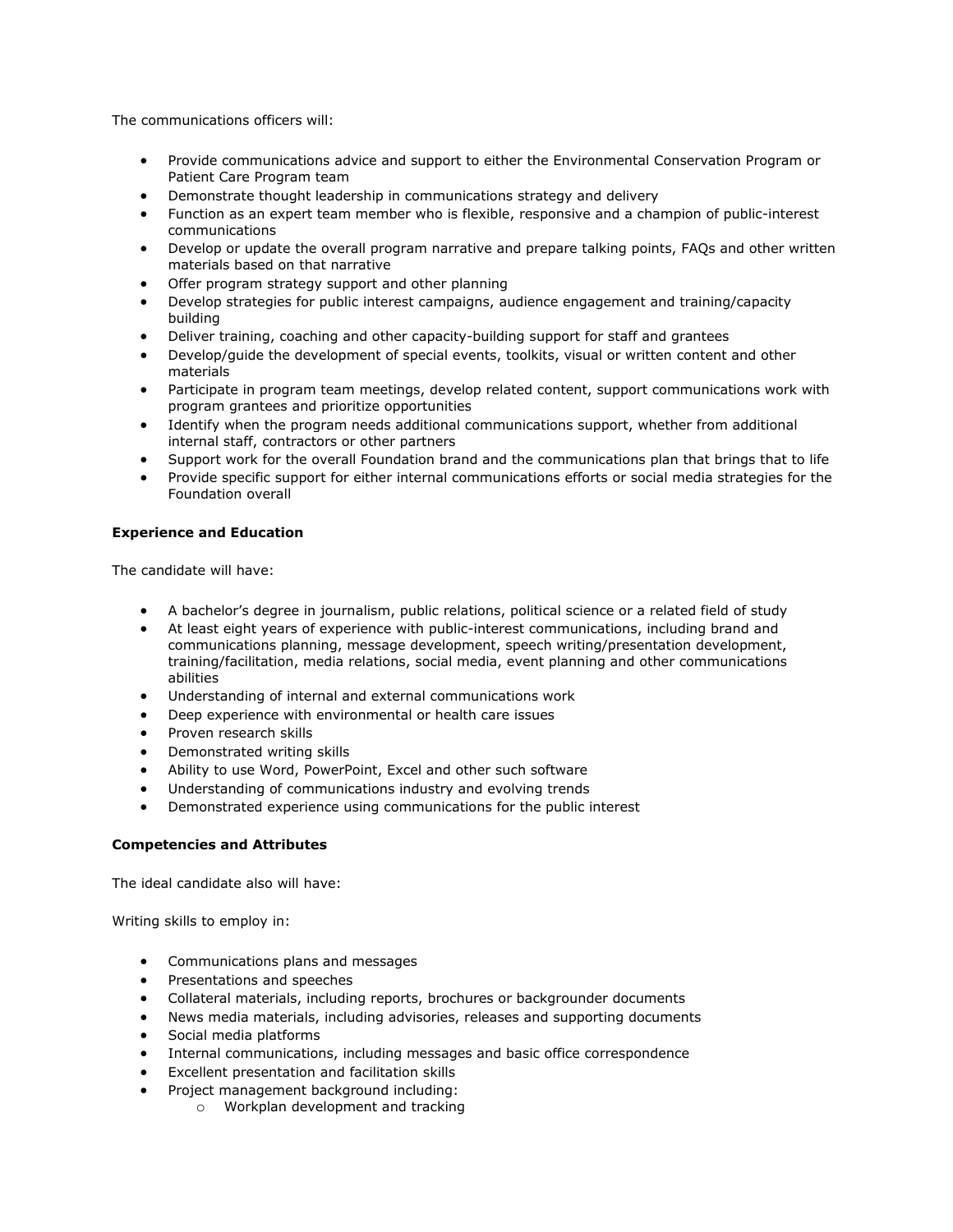The communications officers will:

- Provide communications advice and support to either the Environmental Conservation Program or Patient Care Program team
- Demonstrate thought leadership in communications strategy and delivery
- Function as an expert team member who is flexible, responsive and a champion of public-interest communications
- Develop or update the overall program narrative and prepare talking points, FAQs and other written materials based on that narrative
- Offer program strategy support and other planning
- Develop strategies for public interest campaigns, audience engagement and training/capacity building
- Deliver training, coaching and other capacity-building support for staff and grantees
- Develop/guide the development of special events, toolkits, visual or written content and other materials
- Participate in program team meetings, develop related content, support communications work with program grantees and prioritize opportunities
- Identify when the program needs additional communications support, whether from additional internal staff, contractors or other partners
- Support work for the overall Foundation brand and the communications plan that brings that to life
- Provide specific support for either internal communications efforts or social media strategies for the Foundation overall

# **Experience and Education**

The candidate will have:

- A bachelor's degree in journalism, public relations, political science or a related field of study
- At least eight years of experience with public-interest communications, including brand and communications planning, message development, speech writing/presentation development, training/facilitation, media relations, social media, event planning and other communications abilities
- Understanding of internal and external communications work
- Deep experience with environmental or health care issues
- Proven research skills
- Demonstrated writing skills
- Ability to use Word, PowerPoint, Excel and other such software
- Understanding of communications industry and evolving trends
- Demonstrated experience using communications for the public interest

### **Competencies and Attributes**

The ideal candidate also will have:

Writing skills to employ in:

- Communications plans and messages
- Presentations and speeches
- Collateral materials, including reports, brochures or backgrounder documents
- News media materials, including advisories, releases and supporting documents
- Social media platforms
- Internal communications, including messages and basic office correspondence
- Excellent presentation and facilitation skills
- Project management background including:
	- o Workplan development and tracking